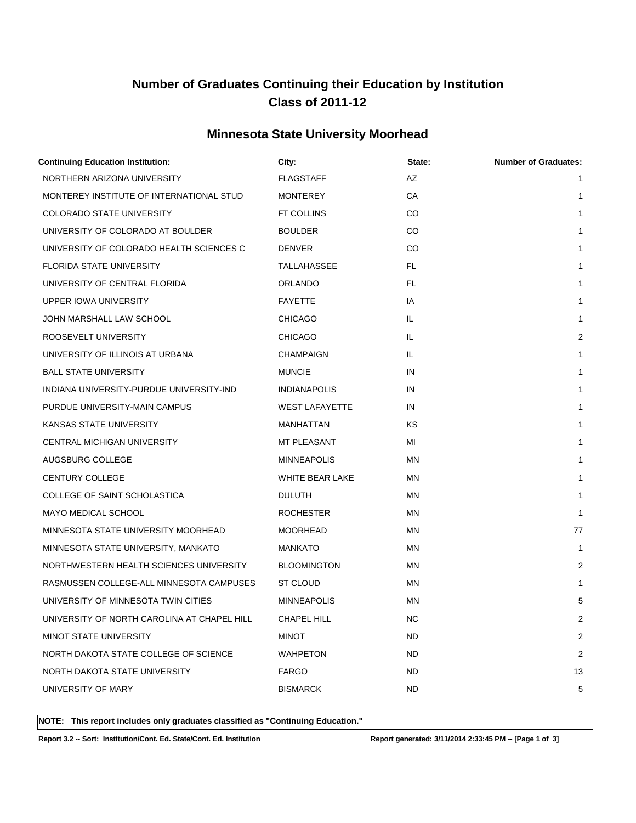# **Number of Graduates Continuing their Education by Institution Class of 2011-12**

#### **Minnesota State University Moorhead**

| <b>Continuing Education Institution:</b>    | City:                 | State:    | <b>Number of Graduates:</b> |
|---------------------------------------------|-----------------------|-----------|-----------------------------|
| NORTHERN ARIZONA UNIVERSITY                 | <b>FLAGSTAFF</b>      | AZ        | $\mathbf{1}$                |
| MONTEREY INSTITUTE OF INTERNATIONAL STUD    | <b>MONTEREY</b>       | СA        | 1                           |
| <b>COLORADO STATE UNIVERSITY</b>            | FT COLLINS            | CO        | $\mathbf{1}$                |
| UNIVERSITY OF COLORADO AT BOULDER           | <b>BOULDER</b>        | CO        | 1                           |
| UNIVERSITY OF COLORADO HEALTH SCIENCES C    | <b>DENVER</b>         | CO        | $\mathbf{1}$                |
| FLORIDA STATE UNIVERSITY                    | TALLAHASSEE           | FL.       | $\mathbf{1}$                |
| UNIVERSITY OF CENTRAL FLORIDA               | <b>ORLANDO</b>        | FL.       | $\mathbf{1}$                |
| UPPER IOWA UNIVERSITY                       | <b>FAYETTE</b>        | IA        | $\mathbf{1}$                |
| JOHN MARSHALL LAW SCHOOL                    | <b>CHICAGO</b>        | IL        | $\mathbf{1}$                |
| ROOSEVELT UNIVERSITY                        | <b>CHICAGO</b>        | IL.       | 2                           |
| UNIVERSITY OF ILLINOIS AT URBANA            | CHAMPAIGN             | IL.       | 1                           |
| <b>BALL STATE UNIVERSITY</b>                | <b>MUNCIE</b>         | IN        | $\mathbf{1}$                |
| INDIANA UNIVERSITY-PURDUE UNIVERSITY-IND    | <b>INDIANAPOLIS</b>   | IN        | $\mathbf{1}$                |
| PURDUE UNIVERSITY-MAIN CAMPUS               | <b>WEST LAFAYETTE</b> | IN        | 1                           |
| KANSAS STATE UNIVERSITY                     | MANHATTAN             | ΚS        | $\mathbf{1}$                |
| CENTRAL MICHIGAN UNIVERSITY                 | MT PLEASANT           | MI        | 1                           |
| AUGSBURG COLLEGE                            | <b>MINNEAPOLIS</b>    | MN        | $\mathbf{1}$                |
| CENTURY COLLEGE                             | WHITE BEAR LAKE       | MN        | $\mathbf{1}$                |
| COLLEGE OF SAINT SCHOLASTICA                | <b>DULUTH</b>         | MN        | 1                           |
| <b>MAYO MEDICAL SCHOOL</b>                  | <b>ROCHESTER</b>      | MN        | $\mathbf{1}$                |
| MINNESOTA STATE UNIVERSITY MOORHEAD         | <b>MOORHEAD</b>       | MN        | 77                          |
| MINNESOTA STATE UNIVERSITY, MANKATO         | <b>MANKATO</b>        | MN        | 1                           |
| NORTHWESTERN HEALTH SCIENCES UNIVERSITY     | <b>BLOOMINGTON</b>    | MN        | 2                           |
| RASMUSSEN COLLEGE-ALL MINNESOTA CAMPUSES    | <b>ST CLOUD</b>       | MN        | 1                           |
| UNIVERSITY OF MINNESOTA TWIN CITIES         | <b>MINNEAPOLIS</b>    | MN        | 5                           |
| UNIVERSITY OF NORTH CAROLINA AT CHAPEL HILL | <b>CHAPEL HILL</b>    | <b>NC</b> | 2                           |
| <b>MINOT STATE UNIVERSITY</b>               | <b>MINOT</b>          | <b>ND</b> | 2                           |
| NORTH DAKOTA STATE COLLEGE OF SCIENCE       | <b>WAHPETON</b>       | ND        | 2                           |
| NORTH DAKOTA STATE UNIVERSITY               | <b>FARGO</b>          | ND.       | 13                          |
| UNIVERSITY OF MARY                          | <b>BISMARCK</b>       | ND.       | 5                           |
|                                             |                       |           |                             |

**NOTE: This report includes only graduates classified as "Continuing Education."** 

**Report 3.2 -- Sort: Institution/Cont. Ed. State/Cont. Ed. Institution Report generated: 3/11/2014 2:33:45 PM -- [Page 1 of 3]**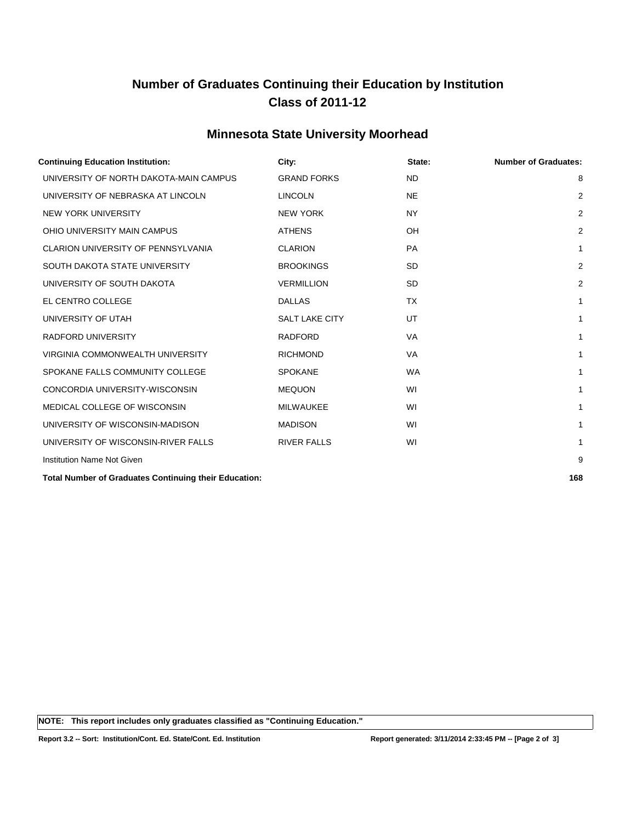## **Number of Graduates Continuing their Education by Institution Class of 2011-12**

#### **Minnesota State University Moorhead**

| <b>Continuing Education Institution:</b>              | City:                 | State:    | <b>Number of Graduates:</b> |
|-------------------------------------------------------|-----------------------|-----------|-----------------------------|
| UNIVERSITY OF NORTH DAKOTA-MAIN CAMPUS                | <b>GRAND FORKS</b>    | <b>ND</b> | 8                           |
| UNIVERSITY OF NEBRASKA AT LINCOLN                     | <b>LINCOLN</b>        | <b>NE</b> | $\overline{2}$              |
| <b>NEW YORK UNIVERSITY</b>                            | <b>NEW YORK</b>       | <b>NY</b> | $\overline{2}$              |
| OHIO UNIVERSITY MAIN CAMPUS                           | <b>ATHENS</b>         | OH        | $\overline{2}$              |
| <b>CLARION UNIVERSITY OF PENNSYLVANIA</b>             | <b>CLARION</b>        | <b>PA</b> | $\mathbf{1}$                |
| SOUTH DAKOTA STATE UNIVERSITY                         | <b>BROOKINGS</b>      | <b>SD</b> | $\overline{2}$              |
| UNIVERSITY OF SOUTH DAKOTA                            | <b>VERMILLION</b>     | <b>SD</b> | $\overline{2}$              |
| EL CENTRO COLLEGE                                     | <b>DALLAS</b>         | <b>TX</b> | 1                           |
| UNIVERSITY OF UTAH                                    | <b>SALT LAKE CITY</b> | UT        | 1                           |
| <b>RADFORD UNIVERSITY</b>                             | <b>RADFORD</b>        | <b>VA</b> | 1                           |
| VIRGINIA COMMONWEALTH UNIVERSITY                      | <b>RICHMOND</b>       | <b>VA</b> | 1                           |
| SPOKANE FALLS COMMUNITY COLLEGE                       | <b>SPOKANE</b>        | <b>WA</b> | 1                           |
| CONCORDIA UNIVERSITY-WISCONSIN                        | <b>MEQUON</b>         | WI        | 1                           |
| MEDICAL COLLEGE OF WISCONSIN                          | <b>MILWAUKEE</b>      | WI        | 1                           |
| UNIVERSITY OF WISCONSIN-MADISON                       | <b>MADISON</b>        | WI        | 1                           |
| UNIVERSITY OF WISCONSIN-RIVER FALLS                   | <b>RIVER FALLS</b>    | WI        | 1                           |
| <b>Institution Name Not Given</b>                     |                       |           | 9                           |
| Total Number of Croductos Continuing their Education: |                       |           | 100                         |

**Total Number of Graduates Continuing their Education: 168**

**NOTE: This report includes only graduates classified as "Continuing Education."**